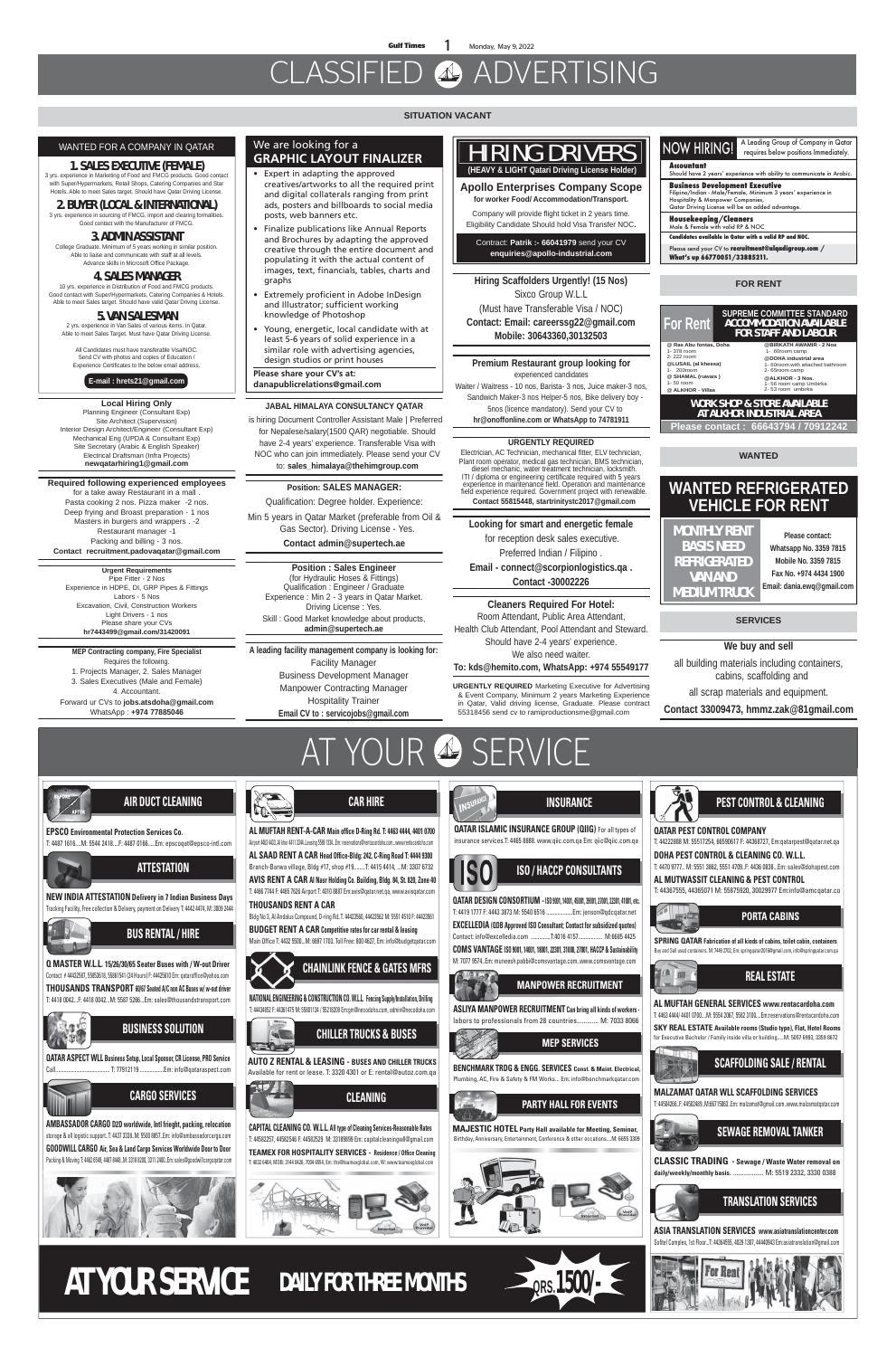**Gulf Times 1** Monday, May 9, 2022

# CLASSIFIED ADVERTISING



#### **VEIN QATAR ISLAMIC INSURANCE GROUP (QIIG)** For all types of **QATAR PEST CONTROL COMPANY** insurance services.T: 4465 8888. www.qiic.com.qa Em: qiic@qiic.com.qa

**ISO / HACCP CONSULTANTS**





**QATAR DESIGN CONSORTIUM -ISO 9001, 14001, 45001, 39001, 27001, 22301, 41001, etc.** T: 4419 1777 F: 4443 3873 M: 5540 6516 ...................Em: jenson@qdcqatar.net **EXCELLEDIA (QDB Approved ISO Consultant; Contact for subsidized quotes)** Contact: info@excelledia.com ..............T:4016 4157................. M:6685 4425 **COMS VANTAGE ISO 9001, 14001, 18001, 22301, 31000, 27001, HACCP & Sustainability** M: 7077 9574..Em: muneesh.pabbi@comsvantage.com..www.comsvantage.com





**PARTY HALL FOR EVENTS**

**MAJESTIC HOTEL Party Hall available for Meeting, Seminar,** Birthday, Anniversary, Entertainment, Conference & other occations....M: 6655 3309

#### NOW HIRING! A Leading Group of Company in Qatar requires below positions Immediately. **Accountant**  $\mathsf{subd}$  have 2 years' experience with ability to co **Business Development Executive** Filipino/Indian - Male/Female, Minimum 3 years' experience in Hospitality & Manpower Companies, Qatar Driving License will be an added advantage

**PEST CONTROL & CLEANING**



T: 44222888 M: 55517254, 66590617 F: 44368727, Em:qatarpest@qatar.net.qa

**DOHA PEST CONTROL & CLEANING CO. W.L.L.**  T: 4470 9777.. M: 5551 3862, 5551 4709..F: 4436 0838...Em: sales@dohapest.com

Please send your CV to **recruitment@alqadigroup.com** / **What's up 66770051/33885211.**

**AL MUTWASSIT CLEANING & PEST CONTROL** T: 44367555, 44365071 M: 55875920, 30029977 Em:info@amcqatar.co



**MEP SERVICES**

**BENCHMARK TRDG & ENGG. SERVICES Const. & Maint. Electrical,** Plumbing, AC, Fire & Safety & FM Works... Em: info@benchmarkqatar.com

**MANPOWER RECRUITMENT**

**ASLIYA MANPOWER RECRUITMENT Can bring all kinds of workers**  labors to professionals from 28 countries............. M: 7033 8066 **SPRING QATAR Fabrication of all kinds of cabins, toilet cabin, containers**  Buy and Sell used containers. M: 7449 2702, Em: springqatar2016@gmail.com, info@springqatar.com.qa

**PORTA CABINS**



**MALZAMAT QATAR WLL SCAFFOLDING SERVICES** T: 44504266..F: 44502489..M:66715063..Em: malzamat@gmail.com..www.malzamatqatar.com



**ASIA TRANSLATION SERVICES www.asiatranslationcenter.com** Sofitel Complex, 1st Floor...T: 44364555, 4029 1307, 44440943 Em:asiatranslation@gmail.com





**CLASSIC TRADING - Sewage / Waste Water removal on daily/weekly/monthly basis.** .................. M: 5519 2332, 3330 0388

**AL MUFTAH GENERAL SERVICES www.rentacardoha.com** T: 4463 4444/ 4401 0700....M: 5554 2067, 5582 3100....Em:reservations@rentacardoha.com



**SKY REAL ESTATE Available rooms (Studio type), Flat, Hotel Rooms** for Executive Bachelor / Family inside villa or building.....M: 5057 6993, 3359 8672

#### **FOR RENT**

#### **WANTED**

#### **SERVICES**



### We are looking for a **GRAPHIC LAYOUT FINALIZER**

- Expert in adapting the approved creatives/artworks to all the required print and digital collaterals ranging from print ads, posters and billboards to social media posts, web banners etc.
- Finalize publications like Annual Reports and Brochures by adapting the approved creative through the entire document and populating it with the actual content of images, text, financials, tables, charts and graphs
- Extremely proficient in Adobe InDesign and Illustrator; sufficient working knowledge of Photoshop
- Young, energetic, local candidate with at least 5-6 years of solid experience in a similar role with advertising agencies, design studios or print houses

**Please share your CV's at: danapublicrelations@gmail.com**

## HIRING DRIVERS  **(HEAVY & LIGHT Qatari Driving License Holder)**

**Apollo Enterprises Company Scope for worker Food/ Accommodation/Transport.**

Company will provide flight ticket in 2 years time. Eligibility Candidate Should hold Visa Transfer NOC**.**

Contract: **Patrik :- 66041979** send your CV **enquiries@apollo-industrial.com**

**Housekeeping/Cleaners**

Male & Female with valid RP & NOC

**Candidates available in Qatar with a valid RP and NOC.**

## **WANTED REFRIGERATED VEHICLE FOR RENT**

**Please contact: Whatsapp No. 3359 7815 Mobile No. 3359 7815 Fax No. +974 4434 1900 Email: dania.ewq@gmail.com**

**MONTHLY RENT BASIS NEED REFRIGERATED VAN AND MEDIUM TRUCK**

#### WANTED FOR A COMPANY IN QATAR

#### **1. SALES EXECUTIVE (FEMALE)**

3 yrs. experience in Marketing of Food and FMCG products. Good contact with Super/Hypermarkets, Retail Shops, Catering Companies and Star Hotels. Able to meet Sales target. Should have Qatar Driving License.

#### **2. BUYER (LOCAL & INTERNATIONAL)** 3 yrs. experience in sourcing of FMCG, import and clearing formalities.

Good contact with the Manufacturer of FMCG.

#### **3. ADMIN ASSISTANT**

College Graduate. Minimum of 5 years working in similar position. Able to liaise and communicate with staff at all levels. Advance skills in Microsoft Office Package.

### **4. SALES MANAGER**

10 yrs. experience in Distribution of Food and FMCG products. Good contact with Super/Hypermarkets, Catering Companies & Hotels. Able to meet Sales target. Should have valid Qatar Driving License.

#### **5. VAN SALESMAN**

2 yrs. experience in Van Sales of various items. In Qatar. Able to meet Sales Target. Must have Qatar Driving License.

All Candidates must have transferable Visa/NOC. Send CV with photos and copies of Education / Experience Certificates to the below email address.

**E-mail : hrets21@gmail.com**

**Local Hiring Only** Planning Engineer (Consultant Exp) Site Architect (Supervision) Interior Design Architect/Engineer (Consultant Exp) Mechanical Eng (UPDA & Consultant Exp) Site Secretary (Arabic & English Speaker) Electrical Draftsman (Infra Projects) **newqatarhiring1@gmail.com**

**Required following experienced employees**  for a take away Restaurant in a mall . Pasta cooking 2 nos. Pizza maker -2 nos. Deep frying and Broast preparation - 1 nos Masters in burgers and wrappers . -2 Restaurant manager -1 Packing and billing - 3 nos. **Contact recruitment.padovaqatar@gmail.com**

> **Urgent Requirements** Pipe Fitter - 2 Nos Experience in HDPE, DI, GRP Pipes & Fittings Labors - 5 Nos Excavation, Civil, Construction Workers Light Drivers - 1 nos Please share your CVs **hr7443499@gmail.com/31420091**

**MEP Contracting company, Fire Specialist**  Requires the following. 1. Projects Manager, 2. Sales Manager 3. Sales Executives (Male and Female) 4. Accountant. Forward ur CVs to **jobs.atsdoha@gmail.com** WhatsApp : **+974 77885046**

#### **Position: SALES MANAGER:**

Qualification: Degree holder. Experience:

Min 5 years in Qatar Market (preferable from Oil & Gas Sector). Driving License - Yes.

**Contact admin@supertech.ae**

## **JABAL HIMALAYA CONSULTANCY QATAR**

 is hiring Document Controller Assistant Male | Preferred for Nepalese/salary(1500 QAR) negotiable. Should have 2-4 years' experience. Transferable Visa with NOC who can join immediately. Please send your CV to: **sales\_himalaya@thehimgroup.com**

**Position : Sales Engineer**  (for Hydraulic Hoses & Fittings) Qualification : Engineer / Graduate Experience : Min 2 - 3 years in Qatar Market. Driving License : Yes. Skill : Good Market knowledge about products, **admin@supertech.ae**

#### **URGENTLY REQUIRED**

Electrician, AC Technician, mechanical fitter, ELV technician, Plant room operator, medical gas technician, BMS technician, diesel mechanic, water treatment technician, locksmith. ITI / diploma or engineering certificate required with 5 years experience in maintenance field. Operation and maintenance field experience required. Government project with renewable. **Contact 55815448, startrinitystc2017@gmail.com**

**Hiring Scaffolders Urgently! (15 Nos)** Sixco Group W.L.L (Must have Transferable Visa / NOC) **Contact: Email: careerssg22@gmail.com Mobile: 30643360,30132503**

**Premium Restaurant group looking for**  experienced candidates Waiter / Waitress - 10 nos, Barista- 3 nos, Juice maker-3 nos, Sandwich Maker-3 nos Helper-5 nos, Bike delivery boy - 5nos (licence mandatory). Send your CV to **hr@onoffonline.com or WhatsApp to 74781911**

**URGENTLY REQUIRED** Marketing Executive for Advertising & Event Company, Minimum 2 years Marketing Experience in Qatar, Valid driving license, Graduate. Please contract 55318456 send cv to ramiproductionsme@gmail.com

#### **Looking for smart and energetic female**

 for reception desk sales executive. Preferred Indian / Filipino .

**Email - connect@scorpionlogistics.qa . Contact -30002226**

**A leading facility management company is looking for:** Facility Manager Business Development Manager Manpower Contracting Manager Hospitality Trainer **Email CV to : servicojobs@gmail.com**

#### **SITUATION VACANT**

**Cleaners Required For Hotel:** Room Attendant, Public Area Attendant, Health Club Attendant, Pool Attendant and Steward. Should have 2-4 years' experience. We also need waiter. **To: kds@hemito.com, WhatsApp: +974 55549177**

**We buy and sell** 

all building materials including containers, cabins, scaffolding and

all scrap materials and equipment.

**Contact 33009473, hmmz.zak@81gmail.com**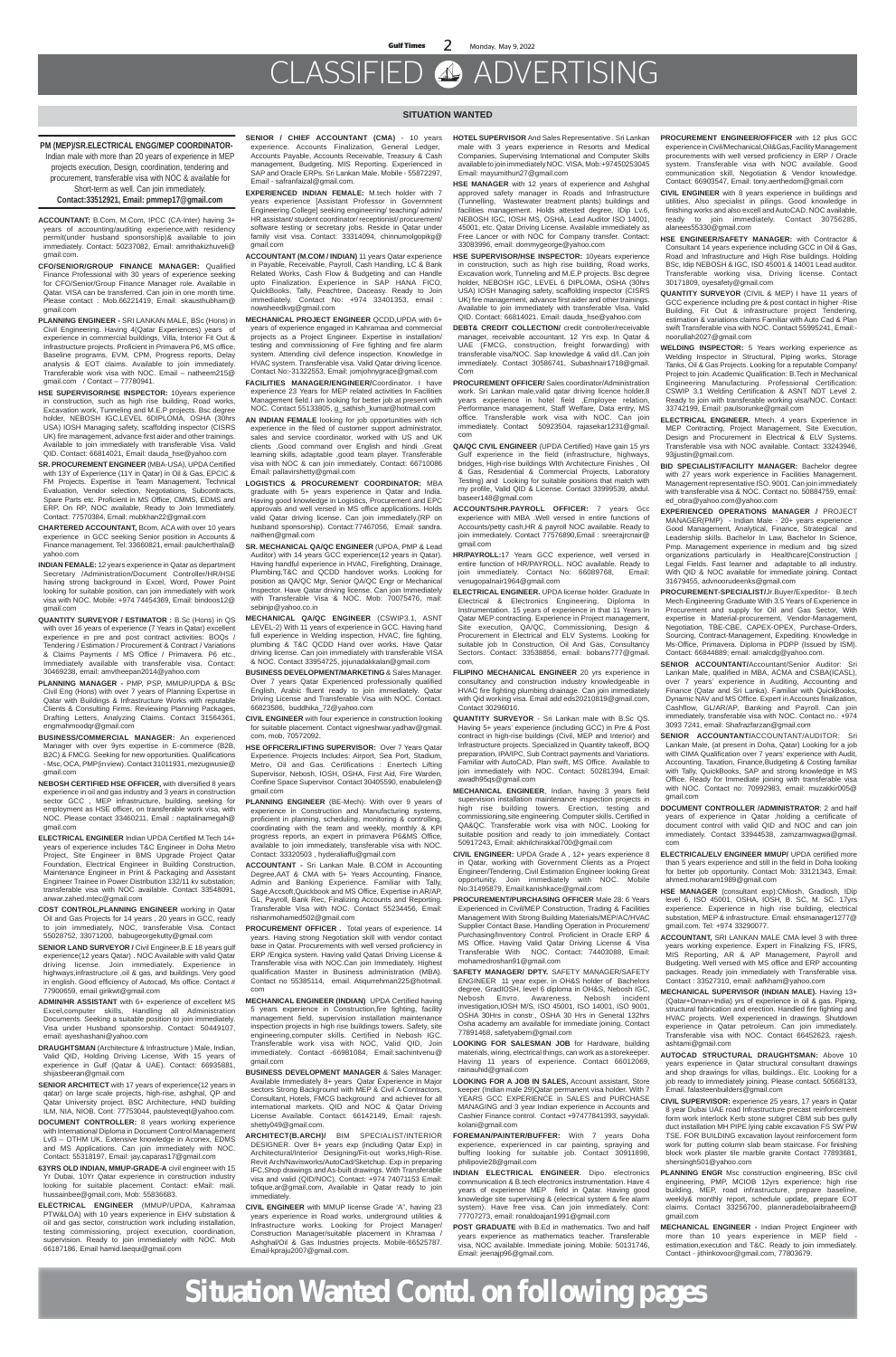# CLASSIFIED ADVERTISING

#### **SITUATION WANTED**

### **PM (MEP)/SR.ELECTRICAL ENGG/MEP COORDINATOR-**

Indian male with more than 20 years of experience in MEP projects execution, Design, coordination, tendering and procurement, transferable visa with NOC & available for Short-term as well. Can join immediately. **Contact:33512921, Email: pmmep17@gmail.com**

**ACCOUNTANT:** B.Com, M.Com, IPCC (CA-Inter) having 3+ years of accounting/auditing experience,with residency permit(under husband sponsorship)& available to join immediately. Contact: 50237082, Email: amrithakizhuveli@ gmail.com.

- **CFO/SENIOR/GROUP FINANCE MANAGER:** Qualified Finance Professional with 30 years of experience seeking for CFO/Senior/Group Finance Manager role. Available in Qatar. VISA can be transferred. Can join in one month time. Please contact : Mob.66221419; Email: skausthubham@ gmail.com
- **PLANNING ENGINEER** SRI LANKAN MALE, BSc (Hons) in Civil Engineering. Having 4(Qatar Experiences) years of experience in commercial buildings, Villa, Interior Fit Out & Infrastructure projects. Proficient in Primavera P6, MS office, Baseline programs, EVM, CPM, Progress reports, Delay analysis & EOT claims. Available to join immediately. Transferable work visa with NOC. Email – natheem215@ gmail.com / Contact – 77780941.
- **HSE SUPERVISOR/HSE INSPECTOR:** 10years experience in construction, such as high rise building, Road works, Excavation work, Tunneling and M.E.P projects. Bsc degree holder, NEBOSH IGC,LEVEL 6DIPLOMA, OSHA (30hrs USA) IOSH Managing safety, scaffolding inspector (CISRS UK) fire management, advance first aider and other trainings. Available to join immediately with transferable Visa. Valid QID. Contact: 66814021, Email: dauda\_hse@yahoo.com
- **SR. PROCUREMENT ENGINEER** (MBA-USA), UPDA Certified with 13Y of Experience (11Y in Qatar) in Oil & Gas, EPCIC & FM Projects. Expertise in Team Management, Technical Evaluation, Vendor selection, Negotiations, Subcontracts, Spare Parts etc. Proficient in MS Office, CMMS, EDMS and ERP. On RP, NOC available, Ready to Join Immediately. Contact: 77570384, Email: mubkhan22@gmail.com
- **CHARTERED ACCOUNTANT,** Bcom, ACA with over 10 years experience in GCC seeking Senior position in Accounts & Finance management. Tel: 33660821, email: paulcherthala@ yahoo.com
- **INDIAN FEMALE:** 12 years experience in Qatar as department Secretary /Administration/Document Controller/HR/HSE having strong background in Excel, Word, Power Point looking for suitable position, can join immediately with work visa with NOC. Mobile: +974 74454369, Email: bindoos12@ gmail.com
- **QUANTITY SURVEYOR / ESTIMATOR :** B.Sc (Hons) in QS with over 16 years of experience (7 Years in Qatar) excellent experience in pre and post contract activities: BOQs / Tendering / Estimation / Procurement & Contract / Variations & Claims Payments / MS Office / Primavera. P6 etc., Immediately available with transferable visa. Contact: 30469238, email: amvtheepan2014@yahoo.com
- **PLANNING MANAGER** PMP, PSP, MMUP/UPDA & BSc Civil Eng (Hons) with over 7 years of Planning Expertise in Qatar with Buildings & Infrastructure Works with reputable Clients & Consulting Firms. Reviewing Planning Packages, Drafting Letters, Analyzing Claims. Contact 31564361, engmahmoodqr@gmail.com
- **BUSINESS/COMMERCIAL MANAGER:** An experienced Manager with over 9yrs expertise in E-commerce (B2B, B2C) & FMCG. Seeking for new opportunities. Qualifications - Msc, OCA, PMP(in view). Contact 31011931, mezugwusie@ gmail.com
- **NEBOSH CERTIFIED HSE OFFICER,** with diversified 8 years experience in oil and gas industry and 3 years in construction sector GCC , MEP infrastructure, building, seeking for employment as HSE officer, on transferable work visa, with
- **SENIOR / CHIEF ACCOUNTANT (CMA)**  10 years experience. Accounts Finalization, General Ledger, Accounts Payable, Accounts Receivable, Treasury & Cash management, Budgeting, MIS Reporting. Experienced in SAP and Oracle ERPs. Sri Lankan Male. Mobile - 55872297, Email - safranfaizal@gmail.com.
- **EXPERIENCED INDIAN FEMALE:** M.tech holder with 7 years experience [Assistant Professor in Government Engineering College] seeking engineering/ teaching/ admin/ HR assistant/ student coordinator/ receptionist/ procurement/ software testing or secretary jobs. Reside in Qatar under family visit visa. Contact: 33314094, chinnumolgopikg@ gmail.com
- **ACCOUNTANT (M.COM / INDIAN)** 11 years Qatar experience in Payable, Receivable, Payroll, Cash Handling, LC & Bank Related Works, Cash Flow & Budgeting and can Handle upto Finalization. Experience in SAP HANA FICO, QuickBooks, Tally, Peachtree, Daceasy. Ready to Join immediately. Contact No: +974 33401353, email : nowsheedkvg@gmail.com
- **MECHANICAL PROJECT ENGINEER** QCDD,UPDA with 6+ years of experience engaged in Kahramaa and commercial projects as a Project Engineer. Expertise in installation/ testing and commissioning of Fire fighting and fire alarm system. Attending civil defence inspection. Knowledge in HVAC system. Transferable visa. Valid Qatar driving licence. Contact No:-31322553, Email: jomjohnygrace@gmail.com
- **FACILITIES MANAGER/ENGINEER/**Coordinator. I have experience 23 Years for MEP related activities In Facilities Management field.I am looking for better job at present with NOC. Contact 55133805, g\_sathish\_kumar@hotmail.com
- **AN INDIAN FEMALE** looking for job opportunities with rich experience in the filed of customer support administrator, sales and service coordinator, worked with US and UK clients .Good command over English and hindi .Great learning skills, adaptable ,good team player. Transferable visa with NOC & can join immediately. Contact: 66710086 Email: pallavirshetty@gmail.com
- **LOGISTICS & PROCUREMENT COORDINATOR:** MBA graduate with 5+ years experience in Qatar and India. Having good knowledge in Logistics, Procurement and EPC approvals and well versed in MS office applications. Holds valid Qatar driving license. Can join immediately.(RP on husband sponsorship). Contact:77467056, Email: sandra. naithen@gmail.com
- **SR. MECHANICAL QA/QC ENGINEER** (UPDA, PMP & Lead Auditor) with 14 years GCC experience(12 years in Qatar). Having handful experience in HVAC, Firefighting, Drainage, Plumbing,T&C and QCDD handover works. Looking for position as QA/QC Mgr, Senior QA/QC Engr or Mechanical Inspector. Have Qatar driving license. Can join Immediately with Transferable Visa & NOC. Mob: 70075476, mail: sebinjp@yahoo.co.in
- **MECHANICAL QA/QC ENGINEER** (CSWIP3.1, ASNT LEVEL-2) With 11 years of experience in GCC. Having hand full experience in Welding inspection, HVAC, fire fighting, plumbing & T&C QCDD Hand over works. Have Qatar driving license. Can join immediately with transferable VISA & NOC. Contact 33954725, jojunadakkalan@gmail.com
- **BUSINESS DEVELOPMENT/MARKETING** & Sales Manager. Over 7 years Qatar Experienced professionally qualified English, Arabic fluent ready to join immediately. Qatar Driving License and Transferable Visa with NOC. Contact. 66823586, buddhika\_72@yahoo.com
- **CIVIL ENGINEER** with four experience in construction looking for suitable placement. Contact vigneshwar.yadhav@gmail. com, mob, 70572092.
- **HSE OFFICER/LIFTING SUPERVISOR:** Over 7 Years Qatar Experience. Projects Includes: Airport, Sea Port, Stadium, Metro, Oil and Gas. Certifications : Enertech Lifting Supervisor, Nebosh, IOSH, OSHA, First Aid, Fire Warden, Confine Space Supervisor. Contact 30405590, enabulelen@ gmail.com
- **PLANNING ENGINEER** (BE-Mech): With over 9 years of experience in Construction and Manufacturing

NOC. Please contact 33460211, Email : naptalinamegah@ gmail.com

- **ELECTRICAL ENGINEER** Indian UPDA Certified M.Tech 14+ years of experience includes T&C Engineer in Doha Metro Project, Site Engineer in BMS Upgrade Project Qatar Foundation, Electrical Engineer in Building Construction, Maintenance Engineer in Print & Packaging and Assistant Engineer Trainee in Power Distribution 132/11 kv substation; transferable visa with NOC available. Contact 33548091, anwar.zahed.mtec@gmail.com
- **COST CONTROL,PLANNING ENGINEER** working in Qatar Oil and Gas Projects for 14 years , 20 years in GCC, ready to join immediately, NOC, transferable Visa. Contact 55028752, 33071200, babugeorgekutty@gmail.com
- **SENIOR LAND SURVEYOR / Civil Engineer, B.E 18 years gulf** experience(12 years Qatar) . NOC Available with valid Qatar driving license. Join immediately. Experience in highways,infrastructure ,oil & gas, and buildings. Very good in english. Good efficiency of Autocad, Ms office. Contact # 77900659, email girikwt@gmail.com
- **ADMIN/HR ASSISTANT** with 6+ experience of excellent MS Excel,computer skills, Handling all Administration Documents. Seeking a suitable position to join immediately. Visa under Husband sponsorship. Contact: 50449107, email: ayeshashani@yahoo.com
- **DRAUGHTSMAN** (Architecture & Infrastructure ) Male, Indian, Valid QID, Holding Driving License, With 15 years of experience in Gulf (Qatar & UAE). Contact: 66935881, shijasbeeran@gmail.com
- **SENIOR ARCHITECT** with 17 years of experience(12 years in qatar) on large scale projects, high-rise, ashghal, QP and Qatar University project. BSC Architecture, HND building ILM, NIA, NIOB. Cont: 77753044, paulsteveqt@yahoo.com.
- **DOCUMENT CONTROLLER:** 8 years working experience with International Diploma in Document Control Management Lvl3 – OTHM UK. Extensive knowledge in Aconex, EDMS and MS Applications. Can join immediately with NOC. Contact: 55318197, Email: jay.caparas17@gmail.com
- **63YRS OLD INDIAN, MMUP-GRADE-A** civil engineer with 15 Yr Dubai, 10Yr Qatar experience in construction industry looking for suitable placement. Contact: eMail: mali. hussainbee@gmail.com, Mob: 55836683.
- **ELECTRICAL ENGINEER** (MMUP/UPDA, Kahramaa PTW&LOA) with 10 years experience in EHV substation & oil and gas sector, construction work including installation, testing commissioning, project execution, coordination, supervision. Ready to join immediately with NOC. Mob 66187186, Email hamid.laequi@gmail.com

proficient in planning, scheduling, monitoring & controlling, coordinating with the team and weekly, monthly & KPI progress reports, an expert in primavera P6&MS Office, available to join immediately, transferable visa with NOC. Contact: 33320503 , hyderaliaffu@gmail.com

- **ACCOUNTANT** Sri Lankan Male. B.COM in Accounting Degree,AAT & CMA with 5+ Years Accounting, Finance, Admin and Banking Experience. Familiar with Tally, Sage,Accsoft,Quickbook and MS Office. Expertise in AR/AP, GL, Payroll, Bank Rec, Finalizing Accounts and Reporting. Transferable Visa with NOC. Contact 55234456, Email: rishanmohamed502@gmail.com
- **PROCUREMENT OFFICER .** Total years of experience. 14 years. Having strong Negotiation skill with vendor contact base in Qatar. Procurements with well versed proficiency in ERP /Engica system. Having valid Qatari Driving License & Transferable visa with NOC.Can join Immediately. Highest qualification Master in Business administration (MBA). Contact no 55385114, email. Atiqurrehman225@hotmail. com
- **MECHANICAL ENGINEER (INDIAN)** UPDA Certified having 5 years experience in Construction,fire fighting, facility management field, supervision installation maintenance inspection projects in high rise buildings towers. Safety, site engineering,computer skills. Certified in Nebosh IGC. Transferable work visa with NOC, Valid QID, Join immediately. Contact -66981084, Email:sachintvenu@ gmail.com
- **BUSINESS DEVELOPMENT MANAGER** & Sales Manager: Available Immediately 8+ years Qatar Experience in Major sectors Strong Background with MEP & Civil A Contractors, Consultant, Hotels, FMCG background and achiever for all international markets. QID and NOC & Qatar Driving License Available. Contact: 66142149, Email: rajesh. shetty049@gmail.com.
- **ARCHITECT(B.ARCH)/** BIM SPECIALIST/INTERIOR DESIGNER. Over 8+ years exp (including Qatar Exp) in Architectural/Interior Designing/Fit-out works,High-Rise. Revit Arch/Navisworks/AutoCad/Sketchup. Exp in preparing IFC,Shop drawings and As-built drawings. With Transferable visa and valid (QID/NOC). Contact: +974 74071153 Email: tofique.ar@gmail.com, Available in Qatar ready to join immediately.
- **CIVIL ENGINEER** with MMUP license Grade 'A", having 23 years experience in Road works, underground utilities & Infrastructure works. Looking for Project Manager/ Construction Manager/suitable placement in Khramaa / Ashghal/Oil & Gas Industries projects. Mobile-66525787. Email-kpraju2007@gmail.com.
- **HOTEL SUPERVISOR** And Sales Representative . Sri Lankan male with 3 years experience in Resorts and Medical Companies, Supervising International and Computer Skills available to join immediately NOC. VISA, Mob:+97450253045 Email: mayumithun27@gmail.com
- **HSE MANAGER** with 12 years of experience and Ashghal approved safety manager in Roads and Infrastructure (Tunnelling, Wastewater treatment plants) buildings and facilities management. Holds attested degree, IDip Lv.6, NEBOSH IGC, IOSH MS, OSHA, Lead Auditor ISO 14001, 45001, etc. Qatar Driving License. Available immediately as Free Lancer or with NOC for Company transfer. Contact: 33083996, email: dommygeorge@yahoo.com
- **HSE SUPERVISOR/HSE INSPECTOR:** 10years experience in construction, such as high rise building, Road works, Excavation work, Tunneling and M.E.P projects. Bsc degree holder, NEBOSH IGC, LEVEL 6 DIPLOMA, OSHA (30hrs USA) IOSH Managing safety, scaffolding inspector (CISRS UK) fire management, advance first aider and other trainings. Available to join immediately with transferable Visa. Valid QID. Contact: 66814021. Email: dauda\_hse@yahoo.com
- **DEBT& CREDIT COLLECTION/** credit controller/receivable manager, receivable accountant. 12 Yrs exp. In Qatar & UAE (FMCG, construction, freight forwarding) with transferable visa/NOC. Sap knowledge & valid d/l..Can join immediately. Contact 30586741, Subashnair1718@gmail. Com
- **PROCUREMENT OFFICER/** Sales coordinator/Administration work. Sri Lankan male,valid qatar driving licence holder,8 years experience in hotel field ,Employee relation, Performance management, Staff Welfare, Data entry, MS office. Transferable work visa with NOC. Can join immediately. Contact 50923504, rajasekar1231@gmail. com
- **QA/QC CIVIL ENGINEER** (UPDA Certified) Have gain 15 yrs Gulf experience in the field (infrastructure, highways, bridges, High-rise buildings WIth Architecture Finishes , Oil & Gas, Residential & Commercial Projects, Laboratory Testing) and Looking for suitable positions that match with my profile, Valid QID & License. Contact 33999539, abdul. baseer148@gmail.com
- **ACCOUNTS/HR.PAYROLL OFFICER:** 7 years Gcc experience with MBA .Well versed in entire functions of Accounts/petty cash,HR & payroll NOC available. Ready to join immediately. Contact 77576890, Email : sreerajrcnair@ gmail.com
- **HR/PAYROLL:**17 Years GCC experience, well versed in entire function of HR/PAYROLL. NOC available. Ready to join immediately. Contact No: 66089768, Email: venugopalnair1964@gmail.com
- **ELECTRICAL ENGINEER.** UPDA license holder. Graduate In Electrical & Electronics Engineering, Diploma In Instrumentation. 15 years of experience in that 11 Years In Qatar MEP contracting. Experience in Project management, Site execution, QA/QC, Commissioning, Design & Procurement in Electrical and ELV Systems. Looking for suitable job In Construction, Oil And Gas, Consultancy Sectors. Contact: 33538856, email: bobans777@gmail. com,
- **FILIPINO MECHANICAL ENGINEER** 20 yrs experience in consultancy and construction industry knowledgeable in HVAC fire fighting plumbing drainage. Can join immediately with Qid working visa. Email add eds20210819@gmail.com, Contact 30296016.
- **QUANTITY SURVEYOR**  Sri Lankan male with B.Sc QS. Having 5+ years' experience (including GCC) in Pre & Post contract in high-rise buildings (Civil, MEP and Interior) and Infrastructure projects. Specialized in Quantity takeoff, BOQ preparation, IPA/IPC, Sub Contract payments and Variations. Familiar with AutoCAD, Plan swift, MS Office. Available to join immediately with NOC. Contact: 50281394, Email: awadh95qs@gmail.com
- **MECHANICAL ENGINEER**, Indian, having 3 years field supervision installation maintenance inspection projects in high rise building towers. Erection, testing and

commissioning,site engineering. Computer skills. Certified in QA&QC. Transferable work visa with NOC. Looking for suitable position and ready to join immediately. Contact 50917243, Email: akhilchirakkal700@gmail.com

- **CIVIL ENGINEER:** UPDA Grade A , 12+ years experience 8 in Qatar, working with Government Clients as a Project Engineer/Tendering, Civil Estimation Engineer looking Great opportunity. Join immediately with NOC. Mobile No:31495879, Email:kanishkace@gmail.com
- **PROCUREMENT/PURCHASING OFFICER** Male 28: 6 Years Experienced in Civil/MEP Construction, Trading & Facilities Management With Strong Building Materials/MEP/AC/HVAC Supplier Contact Base. Handling Operation in Procurement/ Purchasing/Inventory Control. Proficient in Oracle ERP & MS Office. Having Valid Qatar Driving License & Visa Transferable With NOC. Contact: 74403088, Email: mohamedroshan91@gmail.com
- **SAFETY MANAGER/ DPTY.** SAFETY MANAGER/SAFETY ENGINEER 11 year exper. in OH&S holder of Bachelors degree, GradIOSH, level 6 diploma in OH&S, Nebosh IGC, Nebosh Envro. Awareness, Nebosh incident investigation,IOSH M/S, ISO 45001, ISO 14001, ISO 9001, OSHA 30Hrs in constr., OSHA 30 Hrs in General 132hrs Osha academy am available for immediate joining. Contact 77891468, safetyabem@gmail.com
- **LOOKING FOR SALESMAN JOB** for Hardware, building materials, wiring, electrical things, can work as a storekeeper. Having 11 years of experience. Contact 66012069, rainauhid@gmail.com
- **LOOKING FOR A JOB IN SALES,** Account assistant, Store keeper (Indian male 29)Qatar permanent visa holder. With 7 YEARS GCC EXPERIENCE in SALES and PURCHASE MANAGING and 3 year Indian experience in Accounts and Cashier Finance control. Contact +97477841393, sayyidali. kolani@gmail.com
- **FOREMAN/PAINTER/BUFFER:** With 7 years Doha experience, experienced in car painting, spraying and buffing looking for suitable job. Contact 30911898, philipovie28@gmail.com
- **INDIAN ELECTRICAL ENGINEER**. Dipo. electronics communication & B.tech electronics instrumentation. Have 4 years of experience MEP field in Qatar. Having good knowledge site supervising & (electrical system & fire alarm system). Have free visa. Can join immediately. Cont: 77707273, email: ronaldoajan1991@gmail.com
- **POST GRADUATE** with B.Ed in mathematics. Two and half years experience as mathematics teacher. Transferable visa, NOC available. Immediate joining. Mobile: 50131746, Email: jeenajp96@gmail.com.
- **PROCUREMENT ENGINEER/OFFICER** with 12 plus GCC experience in Civil/Mechanical,Oil&Gas,Facility Management procurements with well versed proficiency in ERP / Oracle system. Transferable visa with NOC available. Good communication skill, Negotiation & Vendor knowledge. Contact: 66903547, Email: tony.aerthedom@gmail.com
- **CIVIL ENGINEER** with 8 years experience in buildings and utilities, Also specialist in pilings. Good knowledge in finishing works and also excell and AutoCAD. NOC available, ready to join immediately. Contact 30756285, alanees55330@gmail.com
- **HSE ENGINEER/SAFETY MANAGER:** with Contractor & Consultant 14 years experience including GCC in Oil & Gas, Road and Infrastructure and High Rise buildings. Holding BSc, Idip NEBOSH & IGC, ISO 45001 & 14001 Lead auditor. Transferable working visa, Driving license. Contact 30171809, oyesafety@gmail.com
- **QUANTITY SURVEYOR** (CIVIL & MEP) I have 11 years of GCC experience including pre & post contact in higher -Rise Building, Fit Out & infrastructure project Tendering, estimation & variations claims Familiar with Auto Cad & Plan swift Transferable visa with NOC. Contact 55995241, Email: noorullah2027@gmail.com
- **WELDING INSPECTOR:** 5 Years working experience as Welding Inspector in Structural, Piping works, Storage Tanks, Oil & Gas Projects. Looking for a reputable Company/ Project to join. Academic Qualification: B.Tech in Mechanical Engineering Manufacturing. Professional Certification: CSWIP 3.1 Welding Certification & ASNT NDT Level 2. Ready to join with transferable working visa/NOC. Contact: 33742199, Email: paulsorunke@gmail.com
- **ELECTRICAL ENGINEER.** Mtech. 4 years Experience in MEP Contracting, Project Management, Site Execution, Design and Procurement in Electrical & ELV Systems. Transferable visa with NOC available. Contact: 33243946, 93ijustin@gmail.com.
- **BID SPECIALIST/FACILITY MANAGER:** Bachelor degree with 27 years work experience in Facilities Management. Management representative ISO. 9001. Can join immediately with transferable visa & NOC. Contact no. 50884759, email: ed\_obra@yahoo.com@yahoo.com
- **EXPERIENCED OPERATIONS MANAGER /** PROJECT MANAGER(PMP) - Indian Male - 20+ years experience . Good Management, Analytical, Finance, Strategical and Leadership skills. Bachelor In Law, Bachelor In Science, Pmp. Management experience in medium and big sized organizations particularly in Healthcare|Construction | Legal Fields. Fast learner and adaptable to all industry. With QID & NOC available for immediate joining. Contact 31679455, advnoorudeenks@gmail.com
- **PROCUREMENT-SPECIALIST/**Jr.Buyer/Expeditor- B.tech Mech-Engineering Graduate With 3.5 Years of Experience in Procurement and supply for Oil and Gas Sector, With expertise in Material-procurement, Vendor-Management, Negotiation, TBE-CBE, CAPEX-OPEX, Purchase-Orders, Sourcing, Contract-Management, Expediting. Knowledge in Ms-Office, Primavera. Diploma in PDPP (Issued by ISM). Contact: 66844889; email: amalcdg@yahoo.com.
- **SENIOR ACCOUNTANT/**Accountant/Senior Auditor: Sri Lankan Male, qualified in MBA, ACMA and CSBA(ICASL), over 7 years' experience in Auditing, Accounting and Finance (Qatar and Sri Lanka). Familiar with QuickBooks, Dynamic NAV and MS Office. Expert in Accounts finalization, Cashflow, GL/AR/AP, Banking and Payroll. Can join immediately, transferable visa with NOC. Contact no.: +974 3093 7241, email: Shafrazfarzan@gmail.com
- **SENIOR ACCOUNTANT/**ACCOUNTANT/AUDITOR: Sri Lankan Male, (at present in Doha, Qatar) Looking for a job with CIMA Qualification over 7 years' experience with Audit. Accounting, Taxation, Finance,Budgeting & Costing familiar with Tally, QuickBooks, SAP and strong knowledge in MS Office. Ready for Immediate joining with transferable visa with NOC. Contact no: 70992983, email: muzakkir005@ gmail.com
- **DOCUMENT CONTROLLER /ADMINISTRATOR**: 2 and half

years of experience in Qatar ,holding a certificate of document control with valid QID and NOC and can join immediately. Contact 33944538, zamzamwagwa@gmail. com

**ELECTRICAL/ELV ENGINEER MMUP/** UPDA certified more than 5 years experience and still in the field in Doha looking for better job opportunity. Contact Mob: 33121343, Email: ahmed.moharam1989@gmail.com

- **HSE MANAGER** (consultant exp):CMiosh, Gradiosh, IDip level 6, ISO 45001, OSHA, IOSH, B. SC, M. SC. 17yrs experience. Experience in high rise building, electrical substation, MEP & infrastructure. Email: ehsmanager1277@ gmail.com. Tel: +974 33290077.
- **ACCOUNTANT,** SRI LANKAN MALE CMA level 3 with three years working experience. Expert in Finalizing FS, IFRS, MIS Reporting, AR & AP Management, Payroll and Budgeting. Well versed with MS office and ERP accounting packages. Ready join immediately with Transferable visa. Contact : 33527310, email: aafkham@yahoo.com
- **MECHANICAL SUPERVISOR (INDIAN MALE).** Having 13+ (Qatar+Oman+India) yrs of experience in oil & gas. Piping, structural fabrication and erection. Handled fire fighting and HVAC projects. Well experienced in drawings. Shutdown experience in Qatar petroleum. Can join immediately. Transferable visa with NOC. Contact 66452623, rajesh. ashtami@gmail.com
- **AUTOCAD STRUCTURAL DRAUGHTSMAN:** Above 10 years experience in Qatar structural consultant drawings and shop drawings for villas, buildings.. Etc. Looking for a job ready to immediately joining. Please contact. 50568133, Email. falasteenbuilders@gmail.com
- **CIVIL SUPERVISOR:** experience 25 years, 17 years in Qatar 8 year Dubai UAE road Infrastructure precast reinforcement form work interlock Kerb stone subgret CBM sub bes gully duct installation MH PIPE lying cable excavation FS SW PW TSE. FOR BUILDING excavation layout reinforcement form work for putting column slab beam staircase. For finishing block work plaster tile marble granite Contact 77893681, shersingh501@yahoo.com
- **PLANNING ENGR** Msc construction engineering, BSc civil engineering, PMP, MCIOB 12yrs experience; high rise building, MEP, road infrastructure, prepare baseline, weekly& monthly report, schedule update, prepare EOT claims. Contact 33256700, planneradebolaibraheem@ gmail.com
- **MECHANICAL ENGINEER** Indian Project Engineer with more than 10 years experience in MEP field estimation,execution and T&C. Ready to join immediately. Contact - jithinkovoor@gmail.com, 77803679.

# **Situation Wanted Contd. on following pages**